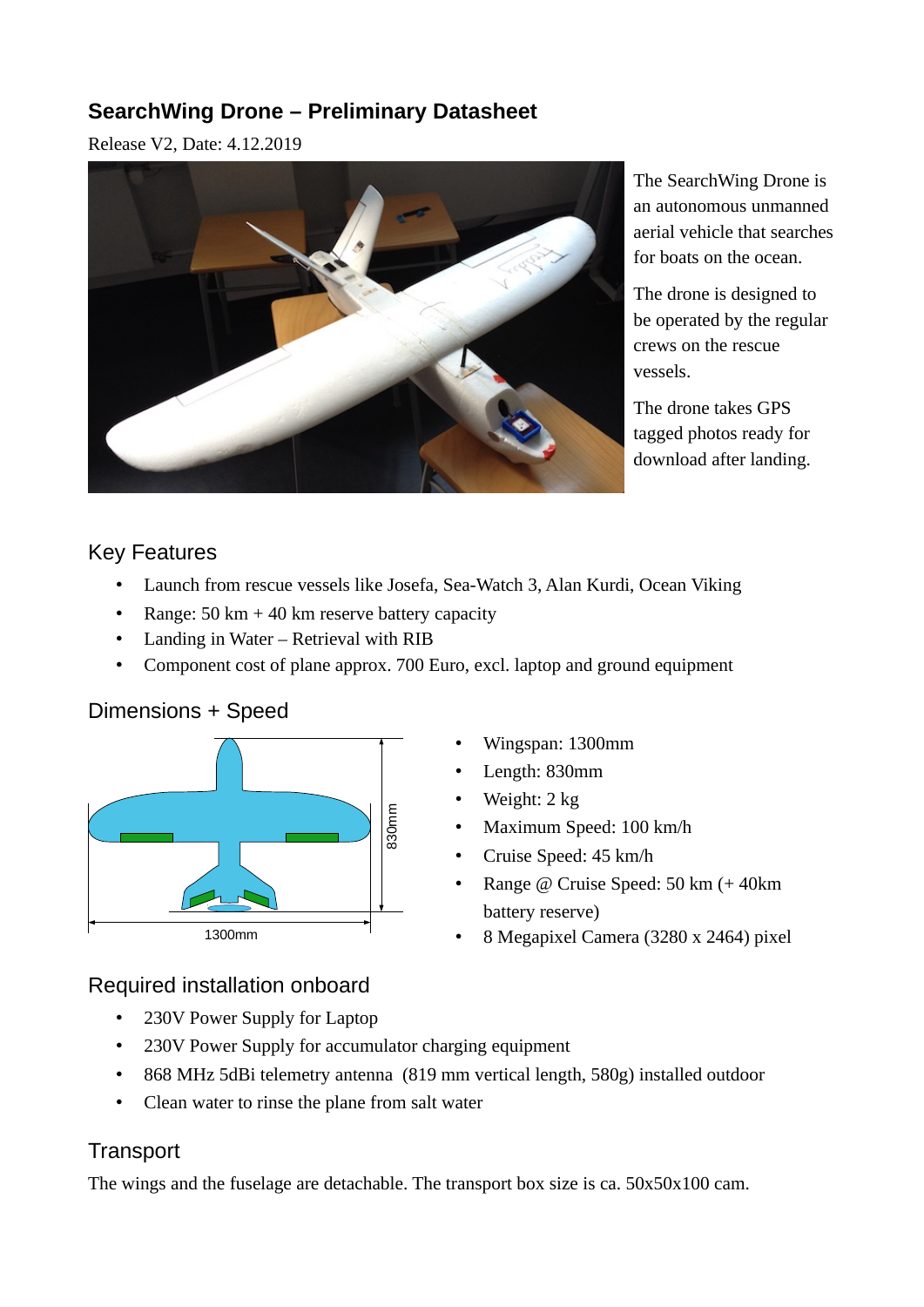# **SearchWing Drone – Preliminary Datasheet**

Release V2, Date: 4.12.2019



The SearchWing Drone is an autonomous unmanned aerial vehicle that searches for boats on the ocean.

The drone is designed to be operated by the regular crews on the rescue vessels.

The drone takes GPS tagged photos ready for download after landing.

### Key Features

- Launch from rescue vessels like Josefa, Sea-Watch 3, Alan Kurdi, Ocean Viking
- Range:  $50 \text{ km} + 40 \text{ km}$  reserve battery capacity
- Landing in Water Retrieval with RIB
- Component cost of plane approx. 700 Euro, excl. laptop and ground equipment

### Dimensions + Speed



- Wingspan: 1300mm
- Length: 830mm
- Weight: 2 kg
- Maximum Speed: 100 km/h
- Cruise Speed: 45 km/h
- Range @ Cruise Speed: 50 km (+ 40 km battery reserve)
- 8 Megapixel Camera (3280 x 2464) pixel

### Required installation onboard

- 230V Power Supply for Laptop
- 230V Power Supply for accumulator charging equipment
- 868 MHz 5dBi telemetry antenna (819 mm vertical length, 580g) installed outdoor
- Clean water to rinse the plane from salt water

# **Transport**

The wings and the fuselage are detachable. The transport box size is ca. 50x50x100 cam.